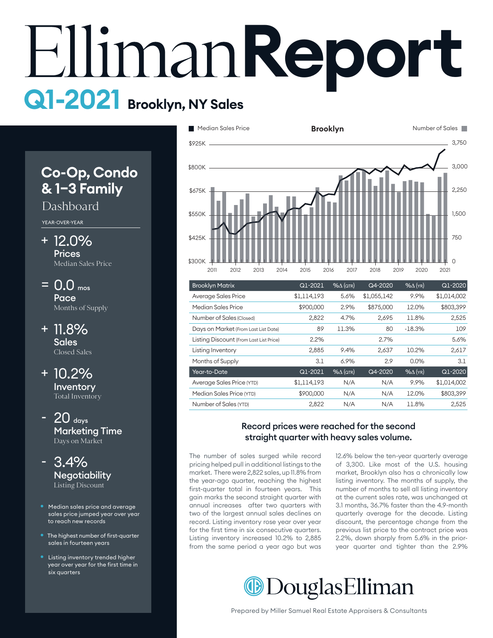# **Report Q1-2021 Brooklyn, NY Sales**

# **Co-Op, Condo & 1–3 Family**

## Dashboard

YEAR-OVER-YEAR

- 12.0% + Prices Median Sales Price
- $= 0.0$  mos Pace Months of Supply
- + 11.8% **Sales** Closed Sales
- 10.2% + **Inventory** Total Inventory
- $20$  days Marketing Time Days on Market
- 3.4% **Negotiability** Listing Discount
- Median sales price and average sales price jumped year over year to reach new records
- The highest number of first-quarter sales in fourteen years
- Listing inventory trended higher year over year for the first time in six quarters



| <b>Brooklyn Matrix</b>                  | Q1-2021     | $% \triangle (QTR)$ | Q4-2020     | $% \Delta$ (YR)   | Q1-2020     |
|-----------------------------------------|-------------|---------------------|-------------|-------------------|-------------|
| Average Sales Price                     | \$1,114,193 | 5.6%                | \$1,055,142 | 9.9%              | \$1,014,002 |
| Median Sales Price                      | \$900,000   | 2.9%                | \$875,000   | 12.0%             | \$803,399   |
| Number of Sales (Closed)                | 2,822       | 4.7%                | 2,695       | 11.8%             | 2,525       |
| Days on Market (From Last List Date)    | 89          | 11.3%               | 80          | $-18.3%$          | 109         |
| Listing Discount (From Last List Price) | 2.2%        |                     | 2.7%        |                   | 5.6%        |
| Listing Inventory                       | 2,885       | 9.4%                | 2,637       | 10.2%             | 2,617       |
| Months of Supply                        | 3.1         | 6.9%                | 2.9         | 0.0%              | 3.1         |
| Year-to-Date                            | Q1-2021     | $% \triangle (QTR)$ | Q4-2020     | $%$ $\Delta$ (YR) | Q1-2020     |
| Average Sales Price (YTD)               | \$1.114.193 | N/A                 | N/A         | 9.9%              | \$1,014,002 |
| Median Sales Price (YTD)                | \$900,000   | N/A                 | N/A         | 12.0%             | \$803.399   |
| Number of Sales (YTD)                   | 2.822       | N/A                 | N/A         | 11.8%             | 2.525       |

#### Record prices were reached for the second straight quarter with heavy sales volume.

The number of sales surged while record pricing helped pull in additional listings to the market. There were 2,822 sales, up 11.8% from the year-ago quarter, reaching the highest listing inventory. The months of supply, first-quarter total in fourteen years. This anst quarter total in fourteen years. This gain marks the second straight quarter with annual increases after two quarters with two of the largest annual sales declines on record. Listing inventory rose year over year for the first time in six consecutive quarters. Listing inventory increased 10.2% to 2,885 from the same period a year ago but was

12.6% below the ten-year quarterly average of 3,300. Like most of the U.S. housing market, Brooklyn also has a chronically low listing inventory. The months of supply, the number of months to sell all listing inventory at the current sales rate, was unchanged at 3.1 months, 36.7% faster than the 4.9-month 600 quarterly average for the decade. Listing discount, the percentage change from the previous list price to the contract price was 2.2%, down sharply from 5.6% in the prioryear quarter and tighter than the 2.9%

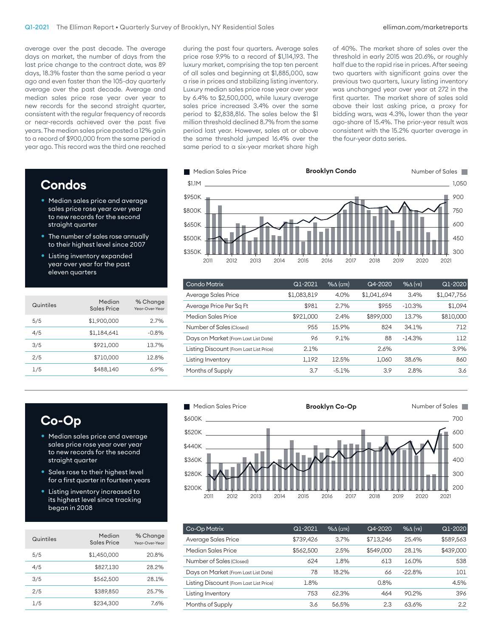average over the past decade. The average days on market, the number of days from the last price change to the contract date, was 89 days, 18.3% faster than the same period a year ago and even faster than the 105-day quarterly average over the past decade. Average and median sales price rose year over year to new records for the second straight quarter, consistent with the regular frequency of records or near-records achieved over the past five years. The median sales price posted a 12% gain to a record of \$900,000 from the same period a year ago. This record was the third one reached

# **Condos**

- Median sales price and average sales price rose year over year to new records for the second straight quarter
- The number of sales rose annually to their highest level since 2007
- Listing inventory expanded year over year for the past eleven quarters

| Quintiles | Median<br>Sales Price | % Change<br>Year-Over-Year |
|-----------|-----------------------|----------------------------|
| 5/5       | \$1,900,000           | 2.7%                       |
| 4/5       | \$1,184,641           | $-0.8%$                    |
| 3/5       | \$921.000             | 13.7%                      |
| 2/5       | \$710.000             | 12.8%                      |
| 1/5       | \$488.140             | 6.9%                       |

period to \$2,838,816. The sales below the \$1 Luxury median sales price rose year over year luxury market, comprising the top ten percent the same threshold jumped 16.4% over the price rose 9.9% to a record of \$1,114,193. The of all sales and beginning at \$1,885,000, saw a rise in prices and stabilizing listing inventory. by 6.4% to \$2,500,000, while luxury average sales price increased 3.4% over the same million threshold declined 8.7% from the same period last year. However, sales at or above same period to a six-year market share high

during the past four quarters. Average sales of 40%. The market share of sales over threshold declined 8.7% from the same ago-share of 15.4%. The prior-year result was bidding wars, was 4.3%, lower than the year was unchanged year over year at 272 in the half due to the rapid rise in prices. After seeing consistent with the 15.2% quarter average in<br>the fauruary data essies of 40%. The market share of sales over the threshold in early 2015 was 20.6%, or roughly two quarters with significant gains over the previous two quarters, luxury listing inventory first quarter. The market share of sales sold above their last asking price, a proxy for the four-year data series.



| Q1-2021     | $% \triangle (QTR)$ | Q4-2020     | $%$ $\Delta$ (YR) | $Q1 - 2020$ |
|-------------|---------------------|-------------|-------------------|-------------|
| \$1,083,819 | 4.0%                | \$1,041,694 | 3.4%              | \$1,047,756 |
| \$981       | 2.7%                | \$955       | $-10.3%$          | \$1,094     |
| \$921,000   | 2.4%                | \$899,000   | 13.7%             | \$810,000   |
| 955         | 15.9%               | 824         | 34.1%             | 712         |
| 96          | 9.1%                | 88          | $-14.3%$          | 112         |
| 2.1%        |                     | 2.6%        |                   | 3.9%        |
| 1,192       | 12.5%               | 1,060       | 38.6%             | 860         |
| 3.7         | $-5.1%$             | 3.9         | 2.8%              | 3.6         |
|             |                     |             |                   |             |

# **Co-Op**

- Median sales price and average sales price rose year over year to new records for the second straight quarter
- Sales rose to their highest level for a first quarter in fourteen years
- Listing inventory increased to its highest level since tracking began in 2008

| Quintiles | Median<br>Sales Price | % Change<br>Year-Over-Year |
|-----------|-----------------------|----------------------------|
| 5/5       | \$1.450.000           | 20.8%                      |
| 4/5       | \$827,130             | 28.2%                      |
| 3/5       | \$562,500             | 28.1%                      |
| 2/5       | \$389.850             | 25.7%                      |
| 1/5       | \$234.300             | 7.6%                       |



| Co-Op Matrix                            | Q1-2021   | $% \triangle (QTR)$ | Q4-2020   | $%$ $\Delta$ (YR) | Q1-2020   |
|-----------------------------------------|-----------|---------------------|-----------|-------------------|-----------|
| Average Sales Price                     | \$739,426 | 3.7%                | \$713.246 | 25.4%             | \$589,563 |
| Median Sales Price                      | \$562,500 | 2.5%                | \$549,000 | 28.1%             | \$439,000 |
| Number of Sales (Closed)                | 624       | 1.8%                | 613       | 16.0%             | 538       |
| Days on Market (From Last List Date)    | 78        | 18.2%               | 66        | $-22.8%$          | 101       |
| Listing Discount (From Last List Price) | 1.8%      |                     | 0.8%      |                   | 4.5%      |
| Listing Inventory                       | 753       | 62.3%               | 464       | 90.2%             | 396       |
| Months of Supply                        | 3.6       | 56.5%               | 2.3       | 63.6%             | 2.2       |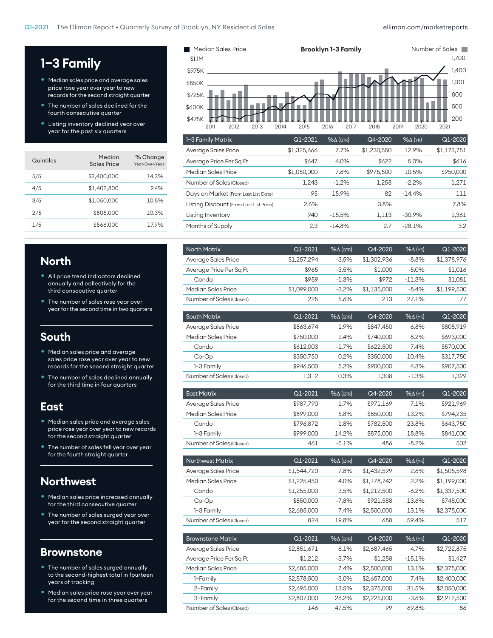# **1–3 Family**

- Median sales price and average sales price rose year over year to new records for the second straight quarter
- The number of sales declined for the fourth consecutive quarter
- Listing inventory declined year over year for the past six quarters

| Quintiles | Median<br><b>Sales Price</b> | % Change<br>Year-Over-Year |
|-----------|------------------------------|----------------------------|
| 5/5       | \$2,400,000                  | 14.3%                      |
| 4/5       | \$1,402,800                  | 9.4%                       |
| 3/5       | \$1,050,000                  | 10.5%                      |
| 2/5       | \$805,000                    | 10.3%                      |
| 1/5       | \$566,000                    | 17.9%                      |
|           |                              |                            |

#### **North**

- All price trend indicators declined annually and collectively for the third consecutive quarter
- The number of sales rose year over year for the second time in two quarters

## **South**

- Median sales price and average sales price rose year over year to new records for the second straight quarter
- The number of sales declined annually for the third time in four quarters

#### **East**

- Median sales price and average sales price rose year over year to new records for the second straight quarter
- The number of sales fell year over year for the fourth straight quarter

## **Northwest**

- Median sales price increased annually for the third consecutive quarter
- **•** The number of sales surged year over year for the second straight quarter

#### **Brownstone**

- The number of sales surged annually to the second-highest total in fourteen years of tracking
- Median sales price rose year over year for the second time in three quarters



| Average Sales Price                     | \$1,325,666 | 7.7%     | \$1,230,550 | 12.9%    | \$1,173,751 |
|-----------------------------------------|-------------|----------|-------------|----------|-------------|
| Average Price Per Sq Ft                 | \$647       | 4.0%     | \$622       | 5.0%     | \$616       |
| Median Sales Price                      | \$1,050,000 | 7.6%     | \$975,500   | 10.5%    | \$950,000   |
| Number of Sales (Closed)                | 1.243       | $-1.2\%$ | 1,258       | $-2.2%$  | 1,271       |
| Days on Market (From Last List Date)    | 95          | 15.9%    | 82          | $-14.4%$ | 111         |
| Listing Discount (From Last List Price) | 2.6%        |          | 3.8%        |          | 7.8%        |
| Listing Inventory                       | 940         | $-15.5%$ | 1,113       | $-30.9%$ | 1,361       |
| Months of Supply                        | 2.3         | $-14.8%$ | 2.7         | $-28.1%$ | 3.2         |
|                                         |             |          |             |          |             |

| <b>North Matrix</b>      | Q1-2021     | $% \triangle (GTR)$ | Q4-2020     | $% \triangle$ (YR) | $Q1 - 2020$ |
|--------------------------|-------------|---------------------|-------------|--------------------|-------------|
| Average Sales Price      | \$1,257,294 | $-3.5%$             | \$1,302,936 | $-8.8%$            | \$1,378,976 |
| Average Price Per Sq Ft  | \$965       | $-3.5%$             | \$1,000     | $-5.0\%$           | \$1.016     |
| Condo                    | \$959       | $-1.3%$             | \$972       | $-11.3%$           | \$1.081     |
| Median Sales Price       | \$1,099,000 | $-3.2%$             | \$1,135,000 | $-8.4%$            | \$1,199,500 |
| Number of Sales (Closed) | 225         | 5.6%                | 213         | 27.1%              | 177         |
|                          |             |                     |             |                    |             |

| <b>South Matrix</b>      | Q1-2021   | $% \triangle (QTR)$ | Q4-2020   | $%$ $\Delta$ (YR) | Q1-2020   |
|--------------------------|-----------|---------------------|-----------|-------------------|-----------|
| Average Sales Price      | \$863,674 | 1.9%                | \$847,450 | 6.8%              | \$808,919 |
| Median Sales Price       | \$750,000 | 1.4%                | \$740,000 | 8.2%              | \$693,000 |
| Condo                    | \$612,003 | $-1.7%$             | \$622,500 | 7.4%              | \$570,000 |
| $Co-Op$                  | \$350,750 | 0.2%                | \$350,000 | 10.4%             | \$317,750 |
| 1-3 Family               | \$946,500 | 5.2%                | \$900,000 | 4.3%              | \$907,500 |
| Number of Sales (Closed) | 1,312     | 0.3%                | 1,308     | $-1.3%$           | 1,329     |
|                          |           |                     |           |                   |           |
| <b>East Matrix</b>       | Q1-2021   | $% \triangle (QTR)$ | Q4-2020   | $%$ $\Delta$ (YR) | Q1-2020   |
| Average Sales Price      | \$987,790 | 1.7%                | \$971,169 | 7.1%              | \$921,969 |
| Median Sales Price       | \$899,000 | 5.8%                | \$850,000 | 13.2%             | \$794,235 |
| Condo                    | \$796,872 | 1.8%                | \$782,500 | 23.8%             | \$643.750 |

| 1-3 Family               | \$999,000 | 14.2%        | \$875,000 | 18.8%              | \$841,000 |
|--------------------------|-----------|--------------|-----------|--------------------|-----------|
| Number of Sales (Closed) | 461       | -5.1%        | 486       | $-8.2%$            | 502       |
|                          |           |              |           |                    |           |
| <b>Northwest Matrix</b>  | Q1-2021   | $\%$ A (QTR) | Q4-2020   | $\%$ $\wedge$ (YR) | $Q1-2020$ |

| Average Sales Price      | \$1,544,720 | 7.8%    | \$1,432,599 | 2.6%     | \$1,505,598 |
|--------------------------|-------------|---------|-------------|----------|-------------|
| Median Sales Price       | \$1,225,450 | $4.0\%$ | \$1,178,742 | 2.2%     | \$1,199,000 |
| Condo                    | \$1,255,000 | 3.5%    | \$1,212,500 | $-6.2\%$ | \$1,337,500 |
| $Co-Op$                  | \$850,000   | $-7.8%$ | \$921.588   | 13.6%    | \$748,000   |
| 1-3 Family               | \$2,685,000 | 7.4%    | \$2,500,000 | 13.1%    | \$2,375,000 |
| Number of Sales (Closed) | 824         | 19.8%   | 688         | 59.4%    | 517         |

| <b>Brownstone Matrix</b> | Q1-2021     | $% \triangle (QTR)$ | Q4-2020     | $%$ $\Delta$ (YR) | Q1-2020     |
|--------------------------|-------------|---------------------|-------------|-------------------|-------------|
| Average Sales Price      | \$2,851,671 | 6.1%                | \$2,687,465 | 4.7%              | \$2,722,875 |
| Average Price Per Sq Ft  | \$1,212     | $-3.7%$             | \$1.258     | $-15.1%$          | \$1,427     |
| Median Sales Price       | \$2,685,000 | 7.4%                | \$2,500,000 | 13.1%             | \$2,375,000 |
| 1-Family                 | \$2,578,500 | $-3.0%$             | \$2,657,000 | 7.4%              | \$2,400,000 |
| 2-Family                 | \$2,695,000 | 13.5%               | \$2,375,000 | 31.5%             | \$2,050,000 |
| 3-Family                 | \$2,807,000 | 26.2%               | \$2,225,000 | $-3.6%$           | \$2,912,500 |
| Number of Sales (Closed) | 146         | 47.5%               | 99          | 69.8%             | 86          |